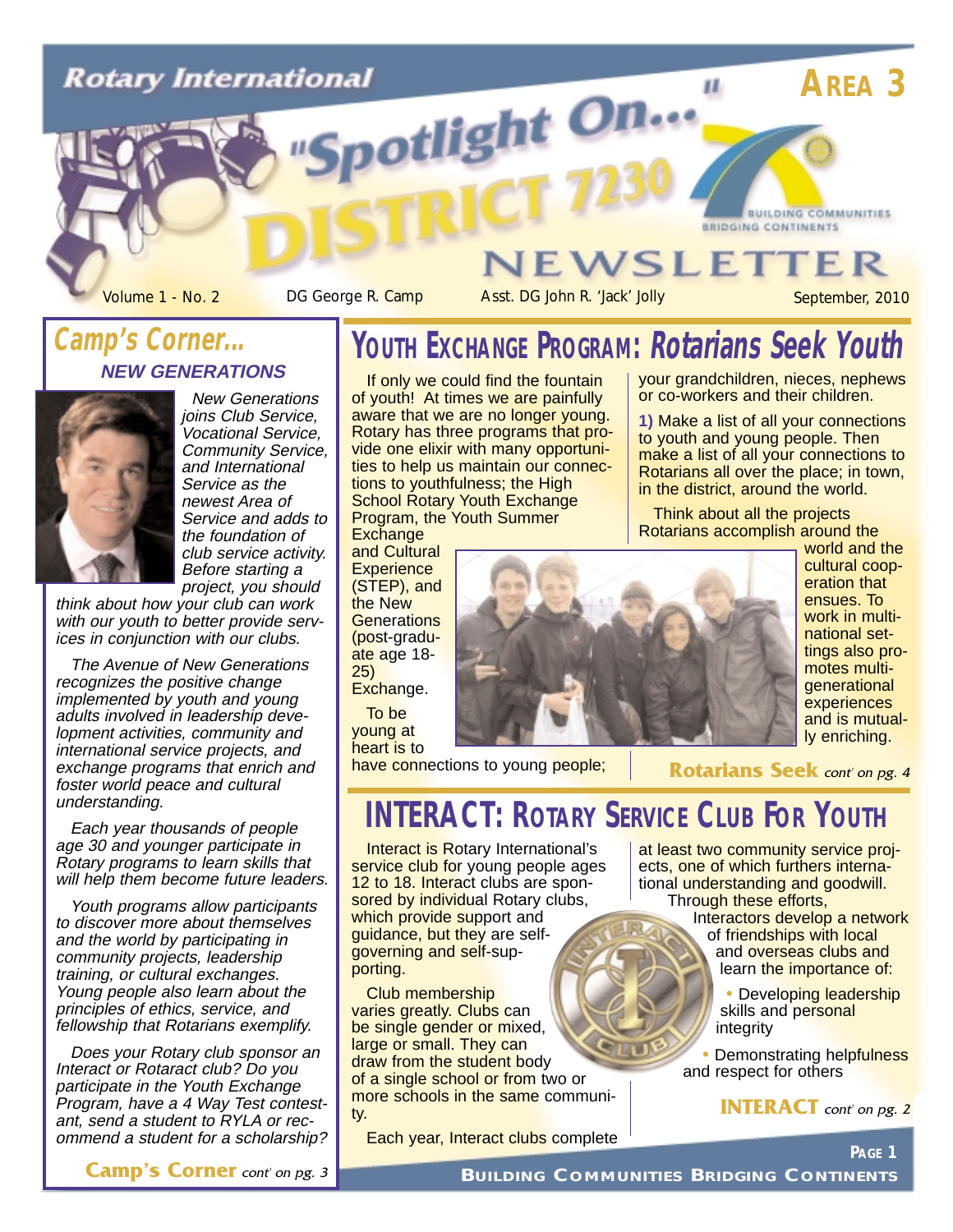# **Rotary International** potlight On...



Volume 1 - No. 2 DG George R. Camp Asst. DG John R. 'Jack' Jolly September, 2010

**BUILDING COMMUNITIES** 

### **NEW GENERATIONS Camp's Corner...**



New Generations ioins Club Service. Vocational Service, Community Service, and International Service as the newest Area of Service and adds to the foundation of club service activity. Before starting a project, you should

think about how your club can work with our youth to better provide services in conjunction with our clubs.

The Avenue of New Generations recognizes the positive change implemented by youth and young adults involved in leadership development activities, community and international service projects, and exchange programs that enrich and foster world peace and cultural understanding.

Each year thousands of people age 30 and younger participate in Rotary programs to learn skills that will help them become future leaders.

Youth programs allow participants to discover more about themselves and the world by participating in community projects, leadership training, or cultural exchanges. Young people also learn about the principles of ethics, service, and fellowship that Rotarians exemplify.

Does your Rotary club sponsor an Interact or Rotaract club? Do you participate in the Youth Exchange Program, have a 4 Way Test contestant, send a student to RYLA or recommend a student for a scholarship?

# **YOUTH EXCHANGE PROGRAM: Rotarians Seek Youth**

If only we could find the fountain of youth! At times we are painfully aware that we are no longer young. Rotary has three programs that provide one elixir with many opportunities to help us maintain our connections to youthfulness; the High School Rotary Youth Exchange Program, the Youth Summer **Exchange** 

and Cultural **Experience** (STEP), and the New **Generations** (post-graduate age 18- 25) Exchange.

To be young at heart is to

have connections to young people;

## **INTERACT: ROTARY SERVICE CLUB FOR YOUTH**

Interact is Rotary International's service club for young people ages 12 to 18. Interact clubs are sponsored by individual Rotary clubs, which provide support and guidance, but they are selfgoverning and self-supporting.

Club membership varies greatly. Clubs can be single gender or mixed, large or small. They can draw from the student body of a single school or from two or more schools in the same community.

Each year, Interact clubs complete

your grandchildren, nieces, nephews or co-workers and their children.

**BRIDGING CONTINENTS** 

 $\mathbf{u}$ 

**VEWSLETTER** 

**1)** Make a list of all your connections to youth and young people. Then make a list of all your connections to Rotarians all over the place; in town, in the district, around the world.

Think about all the projects Rotarians accomplish around the



world and the cultural cooperation that ensues. To work in multinational settings also promotes multigenerational experiences and is mutually enriching.

**Rotarians Seek** cont' on pg. 4

at least two community service projects, one of which furthers international understanding and goodwill. Through these efforts,

Interactors develop a network of friendships with local and overseas clubs and learn the importance of:

> • Developing leadership skills and personal integrity

**Demonstrating helpfulness** and respect for others

**INTERACT** cont' on pg. 2

**PAGE 1**

**Camp's Corner** cont' on pg. 3

**BUILDING COMMUNITIES BRIDGING CONTINENTS**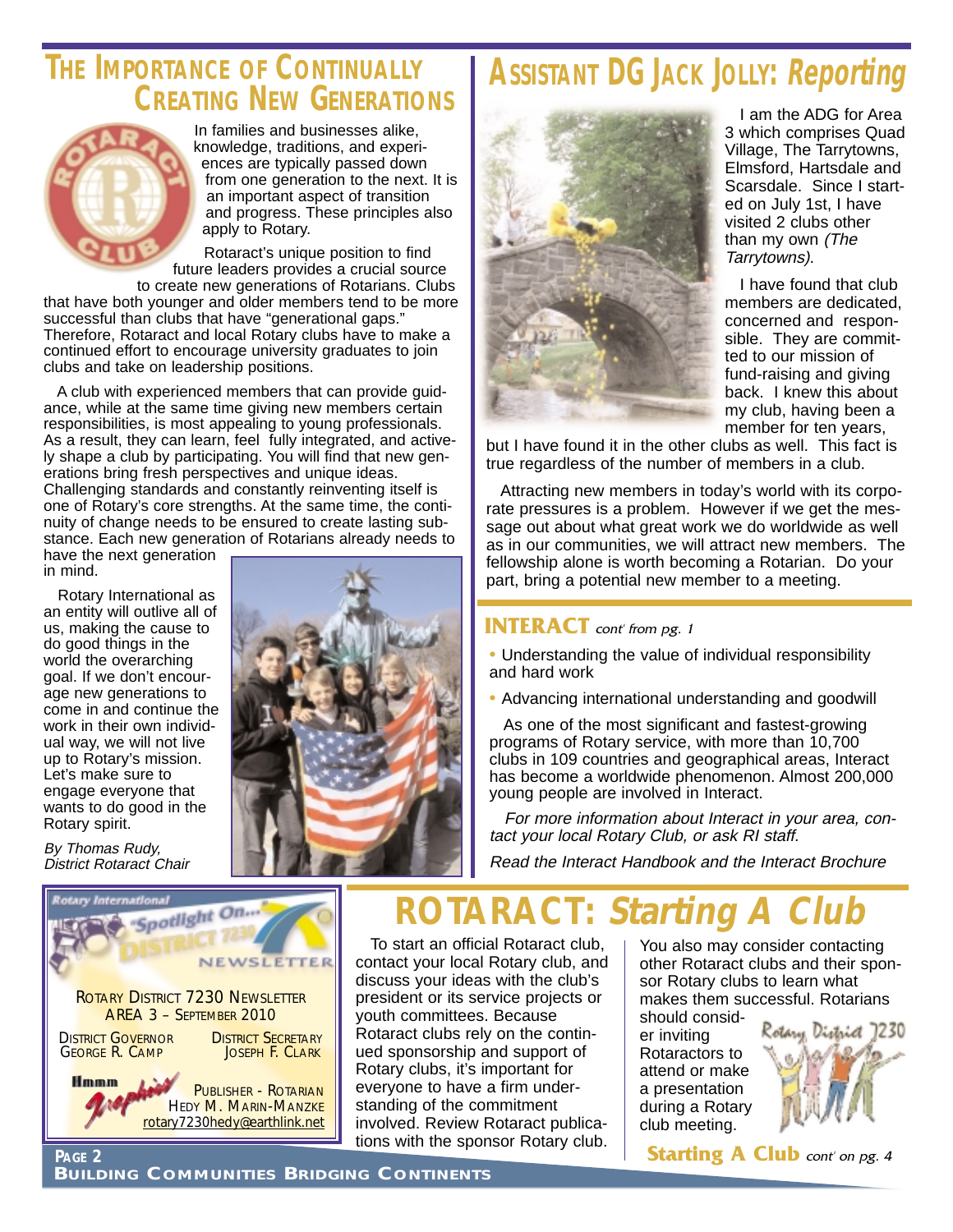### **THE IMPORTANCE OF CONTINUALLY CREATING NEW GENERATIONS**



In families and businesses alike, knowledge, traditions, and experiences are typically passed down from one generation to the next. It is an important aspect of transition and progress. These principles also apply to Rotary.

Rotaract's unique position to find future leaders provides a crucial source

to create new generations of Rotarians. Clubs that have both younger and older members tend to be more successful than clubs that have "generational gaps." Therefore, Rotaract and local Rotary clubs have to make a continued effort to encourage university graduates to join clubs and take on leadership positions.

A club with experienced members that can provide guidance, while at the same time giving new members certain responsibilities, is most appealing to young professionals. As a result, they can learn, feel fully integrated, and actively shape a club by participating. You will find that new generations bring fresh perspectives and unique ideas. Challenging standards and constantly reinventing itself is one of Rotary's core strengths. At the same time, the continuity of change needs to be ensured to create lasting substance. Each new generation of Rotarians already needs to

have the next generation in mind.

Rotary International as an entity will outlive all of us, making the cause to do good things in the world the overarching goal. If we don't encourage new generations to come in and continue the work in their own individual way, we will not live up to Rotary's mission. Let's make sure to engage everyone that wants to do good in the Rotary spirit.

By Thomas Rudy, District Rotaract Chair

GEORGE R. CAMP

Hmmm

ROTARY DISTRICT 7230 NEWSLETTER AREA 3 – SEPTEMBER 2010 **DISTRICT GOVERNOR DISTRICT SECRETARY**<br>**GEORGE R. CAMP DISTRICT SCIARK** 

"Spotlight On...



# **ASSISTANT DG JACK JOLLY: Reporting**



I am the ADG for Area 3 which comprises Quad Village, The Tarrytowns, Elmsford, Hartsdale and Scarsdale. Since I started on July 1st, I have visited 2 clubs other than my own (The Tarrytowns).

I have found that club members are dedicated, concerned and responsible. They are committed to our mission of fund-raising and giving back. I knew this about my club, having been a member for ten years,

but I have found it in the other clubs as well. This fact is true regardless of the number of members in a club.

Attracting new members in today's world with its corporate pressures is a problem. However if we get the message out about what great work we do worldwide as well as in our communities, we will attract new members. The fellowship alone is worth becoming a Rotarian. Do your part, bring a potential new member to a meeting.

#### **INTERACT** cont' from pg. 1

• Understanding the value of individual responsibility and hard work

• Advancing international understanding and goodwill

As one of the most significant and fastest-growing programs of Rotary service, with more than 10,700 clubs in 109 countries and geographical areas, Interact has become a worldwide phenomenon. Almost 200,000 young people are involved in Interact.

For more information about Interact in your area, contact your local Rotary Club, or ask RI staff.

Read the Interact Handbook and the Interact Brochure

**ROTARACT: Starting .** 

To start an official Rotaract club, contact your local Rotary club, and discuss your ideas with the club's president or its service projects or youth committees. Because Rotaract clubs rely on the continued sponsorship and support of Rotary clubs, it's important for everyone to have a firm understanding of the commitment involved. Review Rotaract publications with the sponsor Rotary club.

You also may consider contacting other Rotaract clubs and their sponsor Rotary clubs to learn what makes them successful. Rotarians

should consider inviting Rotaractors to attend or make a presentation during a Rotary club meeting.



**Starting A Club** cont' on pg. 4

PUBLISHER - ROTARIAN HEDY M. MARIN-MANZKE rotary7230hedy@earthlink.net

NEWSLETTER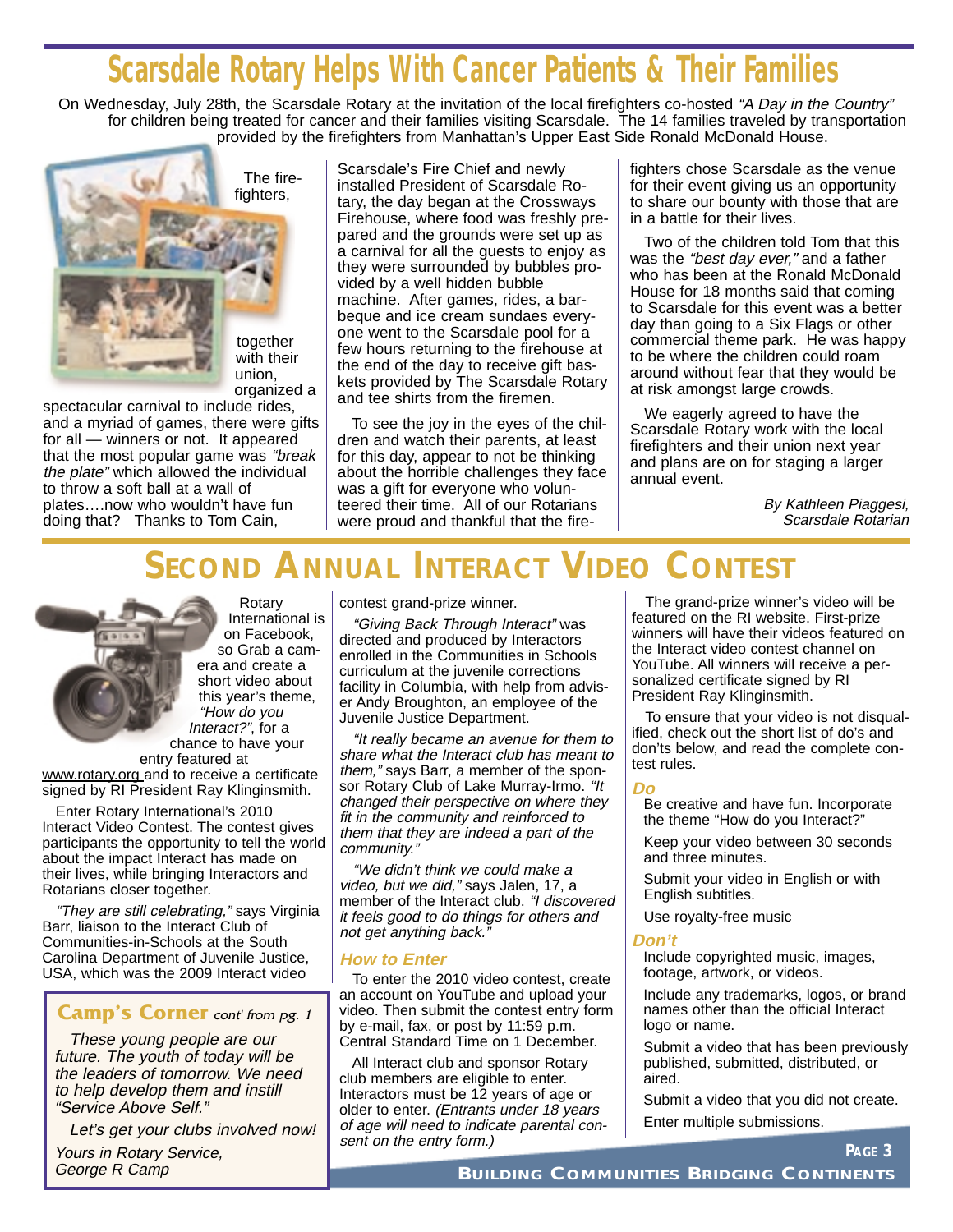# **Scarsdale Rotary Helps With Cancer Patients & Their Families**

On Wednesday, July 28th, the Scarsdale Rotary at the invitation of the local firefighters co-hosted "A Day in the Country" for children being treated for cancer and their families visiting Scarsdale. The 14 families traveled by transportation provided by the firefighters from Manhattan's Upper East Side Ronald McDonald House.



The firefighters,

together with their union, organized a

spectacular carnival to include rides, and a myriad of games, there were gifts for all — winners or not. It appeared that the most popular game was "break the plate" which allowed the individual to throw a soft ball at a wall of plates….now who wouldn't have fun doing that? Thanks to Tom Cain,

Scarsdale's Fire Chief and newly installed President of Scarsdale Rotary, the day began at the Crossways Firehouse, where food was freshly prepared and the grounds were set up as a carnival for all the guests to enjoy as they were surrounded by bubbles provided by a well hidden bubble machine. After games, rides, a barbeque and ice cream sundaes everyone went to the Scarsdale pool for a few hours returning to the firehouse at the end of the day to receive gift baskets provided by The Scarsdale Rotary and tee shirts from the firemen.

To see the joy in the eyes of the children and watch their parents, at least for this day, appear to not be thinking about the horrible challenges they face was a gift for everyone who volunteered their time. All of our Rotarians were proud and thankful that the fire-

fighters chose Scarsdale as the venue for their event giving us an opportunity to share our bounty with those that are in a battle for their lives.

Two of the children told Tom that this was the "best day ever," and a father who has been at the Ronald McDonald House for 18 months said that coming to Scarsdale for this event was a better day than going to a Six Flags or other commercial theme park. He was happy to be where the children could roam around without fear that they would be at risk amongst large crowds.

We eagerly agreed to have the Scarsdale Rotary work with the local firefighters and their union next year and plans are on for staging a larger annual event.

> By Kathleen Piaggesi, Scarsdale Rotarian

# **SECOND ANNUAL INTERACT VIDEO CONTEST**



Rotary International is on Facebook, so Grab a camera and create a short video about this year's theme, "How do you Interact?", for a chance to have your

entry featured at www.rotary.org and to receive a certificate signed by RI President Ray Klinginsmith.

Enter Rotary International's 2010 Interact Video Contest. The contest gives participants the opportunity to tell the world about the impact Interact has made on their lives, while bringing Interactors and Rotarians closer together.

"They are still celebrating," says Virginia Barr, liaison to the Interact Club of Communities-in-Schools at the South Carolina Department of Juvenile Justice, USA, which was the 2009 Interact video

#### **Camp's Corner** cont from pg. 1

These young people are our future. The youth of today will be the leaders of tomorrow. We need to help develop them and instill "Service Above Self."

Let's get your clubs involved now!

Yours in Rotary Service, George R Camp

contest grand-prize winner.

"Giving Back Through Interact" was directed and produced by Interactors enrolled in the Communities in Schools curriculum at the juvenile corrections facility in Columbia, with help from adviser Andy Broughton, an employee of the Juvenile Justice Department.

"It really became an avenue for them to share what the Interact club has meant to them," says Barr, a member of the sponsor Rotary Club of Lake Murray-Irmo. "It changed their perspective on where they fit in the community and reinforced to them that they are indeed a part of the community."

"We didn't think we could make a video, but we did," says Jalen, 17, a member of the Interact club. "I discovered it feels good to do things for others and not get anything back."

#### **How to Enter**

To enter the 2010 video contest, create an account on YouTube and upload your video. Then submit the contest entry form by e-mail, fax, or post by 11:59 p.m. Central Standard Time on 1 December.

All Interact club and sponsor Rotary club members are eligible to enter. Interactors must be 12 years of age or older to enter. (Entrants under 18 years of age will need to indicate parental consent on the entry form.)

The grand-prize winner's video will be featured on the RI website. First-prize winners will have their videos featured on the Interact video contest channel on YouTube. All winners will receive a personalized certificate signed by RI President Ray Klinginsmith.

To ensure that your video is not disqualified, check out the short list of do's and don'ts below, and read the complete contest rules.

#### **Do**

Be creative and have fun. Incorporate the theme "How do you Interact?"

Keep your video between 30 seconds and three minutes.

Submit your video in English or with English subtitles.

Use royalty-free music

#### **Don't**

Include copyrighted music, images, footage, artwork, or videos.

Include any trademarks, logos, or brand names other than the official Interact logo or name.

Submit a video that has been previously published, submitted, distributed, or aired.

Submit a video that you did not create.

**PAGE 3**

Enter multiple submissions.